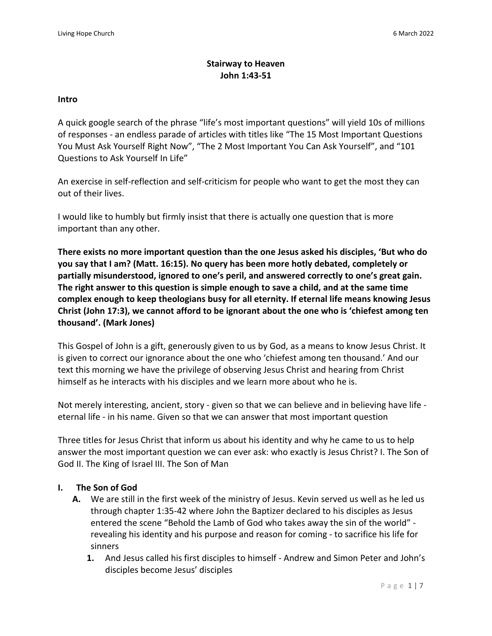### **Stairway to Heaven John 1:43-51**

#### **Intro**

A quick google search of the phrase "life's most important questions" will yield 10s of millions of responses - an endless parade of articles with titles like "The 15 Most Important Questions You Must Ask Yourself Right Now", "The 2 Most Important You Can Ask Yourself", and "101 Questions to Ask Yourself In Life"

An exercise in self-reflection and self-criticism for people who want to get the most they can out of their lives.

I would like to humbly but firmly insist that there is actually one question that is more important than any other.

**There exists no more important question than the one Jesus asked his disciples, 'But who do you say that I am? (Matt. 16:15). No query has been more hotly debated, completely or partially misunderstood, ignored to one's peril, and answered correctly to one's great gain. The right answer to this question is simple enough to save a child, and at the same time complex enough to keep theologians busy for all eternity. If eternal life means knowing Jesus Christ (John 17:3), we cannot afford to be ignorant about the one who is 'chiefest among ten thousand'. (Mark Jones)**

This Gospel of John is a gift, generously given to us by God, as a means to know Jesus Christ. It is given to correct our ignorance about the one who 'chiefest among ten thousand.' And our text this morning we have the privilege of observing Jesus Christ and hearing from Christ himself as he interacts with his disciples and we learn more about who he is.

Not merely interesting, ancient, story - given so that we can believe and in believing have life eternal life - in his name. Given so that we can answer that most important question

Three titles for Jesus Christ that inform us about his identity and why he came to us to help answer the most important question we can ever ask: who exactly is Jesus Christ? I. The Son of God II. The King of Israel III. The Son of Man

#### **I. The Son of God**

- **A.** We are still in the first week of the ministry of Jesus. Kevin served us well as he led us through chapter 1:35-42 where John the Baptizer declared to his disciples as Jesus entered the scene "Behold the Lamb of God who takes away the sin of the world" revealing his identity and his purpose and reason for coming - to sacrifice his life for sinners
	- **1.** And Jesus called his first disciples to himself Andrew and Simon Peter and John's disciples become Jesus' disciples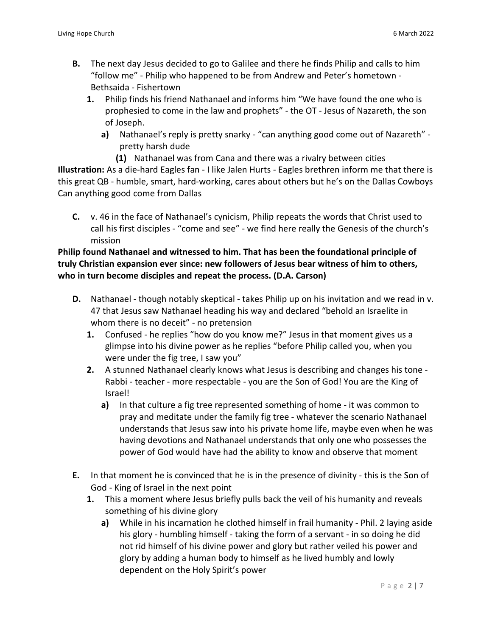- **B.** The next day Jesus decided to go to Galilee and there he finds Philip and calls to him "follow me" - Philip who happened to be from Andrew and Peter's hometown - Bethsaida - Fishertown
	- **1.** Philip finds his friend Nathanael and informs him "We have found the one who is prophesied to come in the law and prophets" - the OT - Jesus of Nazareth, the son of Joseph.
		- **a)** Nathanael's reply is pretty snarky "can anything good come out of Nazareth" pretty harsh dude
			- **(1)** Nathanael was from Cana and there was a rivalry between cities

**Illustration:** As a die-hard Eagles fan - I like Jalen Hurts - Eagles brethren inform me that there is this great QB - humble, smart, hard-working, cares about others but he's on the Dallas Cowboys Can anything good come from Dallas

**C.** v. 46 in the face of Nathanael's cynicism, Philip repeats the words that Christ used to call his first disciples - "come and see" - we find here really the Genesis of the church's mission

**Philip found Nathanael and witnessed to him. That has been the foundational principle of truly Christian expansion ever since: new followers of Jesus bear witness of him to others, who in turn become disciples and repeat the process. (D.A. Carson)**

- **D.** Nathanael though notably skeptical takes Philip up on his invitation and we read in v. 47 that Jesus saw Nathanael heading his way and declared "behold an Israelite in whom there is no deceit" - no pretension
	- **1.** Confused he replies "how do you know me?" Jesus in that moment gives us a glimpse into his divine power as he replies "before Philip called you, when you were under the fig tree, I saw you"
	- **2.** A stunned Nathanael clearly knows what Jesus is describing and changes his tone Rabbi - teacher - more respectable - you are the Son of God! You are the King of Israel!
		- **a)** In that culture a fig tree represented something of home it was common to pray and meditate under the family fig tree - whatever the scenario Nathanael understands that Jesus saw into his private home life, maybe even when he was having devotions and Nathanael understands that only one who possesses the power of God would have had the ability to know and observe that moment
- **E.** In that moment he is convinced that he is in the presence of divinity this is the Son of God - King of Israel in the next point
	- **1.** This a moment where Jesus briefly pulls back the veil of his humanity and reveals something of his divine glory
		- **a)** While in his incarnation he clothed himself in frail humanity Phil. 2 laying aside his glory - humbling himself - taking the form of a servant - in so doing he did not rid himself of his divine power and glory but rather veiled his power and glory by adding a human body to himself as he lived humbly and lowly dependent on the Holy Spirit's power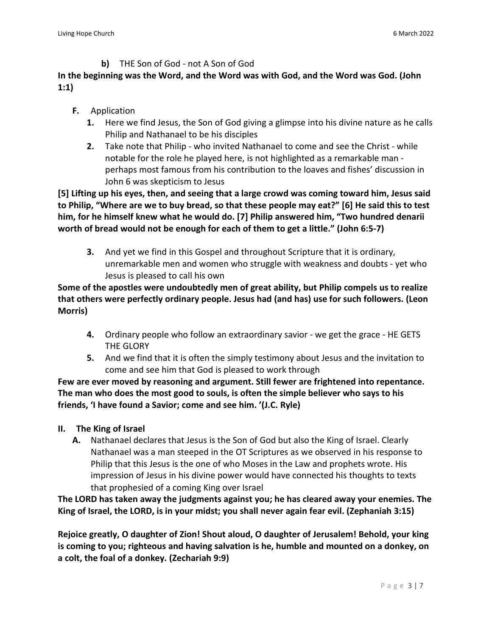**b)** THE Son of God - not A Son of God

# **In the beginning was the Word, and the Word was with God, and the Word was God. (John 1:1)**

- **F.** Application
	- **1.** Here we find Jesus, the Son of God giving a glimpse into his divine nature as he calls Philip and Nathanael to be his disciples
	- **2.** Take note that Philip who invited Nathanael to come and see the Christ while notable for the role he played here, is not highlighted as a remarkable man perhaps most famous from his contribution to the loaves and fishes' discussion in John 6 was skepticism to Jesus

**[5] Lifting up his eyes, then, and seeing that a large crowd was coming toward him, Jesus said** to Philip, "Where are we to buy bread, so that these people may eat?" [6] He said this to test **him, for he himself knew what he would do. [7] Philip answered him, "Two hundred denarii worth of bread would not be enough for each of them to get a little." (John 6:5-7)**

**3.** And yet we find in this Gospel and throughout Scripture that it is ordinary, unremarkable men and women who struggle with weakness and doubts - yet who Jesus is pleased to call his own

**Some of the apostles were undoubtedly men of great ability, but Philip compels us to realize that others were perfectly ordinary people. Jesus had (and has) use for such followers. (Leon Morris)**

- **4.** Ordinary people who follow an extraordinary savior we get the grace HE GETS THE GLORY
- **5.** And we find that it is often the simply testimony about Jesus and the invitation to come and see him that God is pleased to work through

**Few are ever moved by reasoning and argument. Still fewer are frightened into repentance. The man who does the most good to souls, is often the simple believer who says to his friends, 'I have found a Savior; come and see him. '(J.C. Ryle)**

- **II. The King of Israel**
	- **A.** Nathanael declares that Jesus is the Son of God but also the King of Israel. Clearly Nathanael was a man steeped in the OT Scriptures as we observed in his response to Philip that this Jesus is the one of who Moses in the Law and prophets wrote. His impression of Jesus in his divine power would have connected his thoughts to texts that prophesied of a coming King over Israel

**The LORD has taken away the judgments against you; he has cleared away your enemies. The King of Israel, the LORD, is in your midst; you shall never again fear evil. (Zephaniah 3:15)**

**Rejoice greatly, O daughter of Zion! Shout aloud, O daughter of Jerusalem! Behold, your king is coming to you; righteous and having salvation is he, humble and mounted on a donkey, on a colt, the foal of a donkey. (Zechariah 9:9)**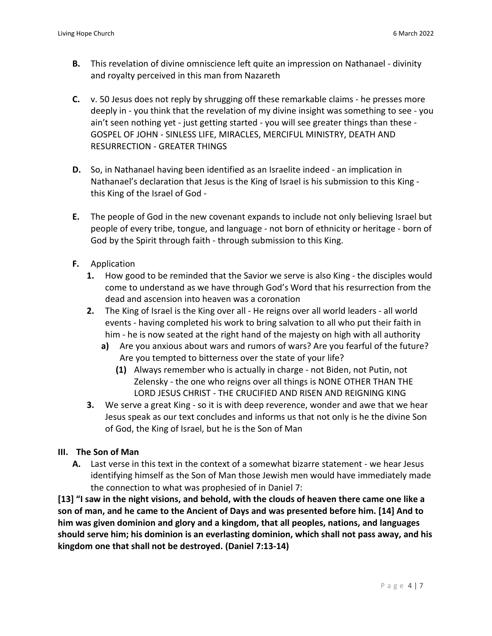- **B.** This revelation of divine omniscience left quite an impression on Nathanael divinity and royalty perceived in this man from Nazareth
- **C.** v. 50 Jesus does not reply by shrugging off these remarkable claims he presses more deeply in - you think that the revelation of my divine insight was something to see - you ain't seen nothing yet - just getting started - you will see greater things than these - GOSPEL OF JOHN - SINLESS LIFE, MIRACLES, MERCIFUL MINISTRY, DEATH AND RESURRECTION - GREATER THINGS
- **D.** So, in Nathanael having been identified as an Israelite indeed an implication in Nathanael's declaration that Jesus is the King of Israel is his submission to this King this King of the Israel of God -
- **E.** The people of God in the new covenant expands to include not only believing Israel but people of every tribe, tongue, and language - not born of ethnicity or heritage - born of God by the Spirit through faith - through submission to this King.
- **F.** Application
	- **1.** How good to be reminded that the Savior we serve is also King the disciples would come to understand as we have through God's Word that his resurrection from the dead and ascension into heaven was a coronation
	- **2.** The King of Israel is the King over all He reigns over all world leaders all world events - having completed his work to bring salvation to all who put their faith in him - he is now seated at the right hand of the majesty on high with all authority
		- **a)** Are you anxious about wars and rumors of wars? Are you fearful of the future? Are you tempted to bitterness over the state of your life?
			- **(1)** Always remember who is actually in charge not Biden, not Putin, not Zelensky - the one who reigns over all things is NONE OTHER THAN THE LORD JESUS CHRIST - THE CRUCIFIED AND RISEN AND REIGNING KING
	- **3.** We serve a great King so it is with deep reverence, wonder and awe that we hear Jesus speak as our text concludes and informs us that not only is he the divine Son of God, the King of Israel, but he is the Son of Man

#### **III. The Son of Man**

**A.** Last verse in this text in the context of a somewhat bizarre statement - we hear Jesus identifying himself as the Son of Man those Jewish men would have immediately made the connection to what was prophesied of in Daniel 7:

[13] "I saw in the night visions, and behold, with the clouds of heaven there came one like a **son of man, and he came to the Ancient of Days and was presented before him. [14] And to him was given dominion and glory and a kingdom, that all peoples, nations, and languages should serve him; his dominion is an everlasting dominion, which shall not pass away, and his kingdom one that shall not be destroyed. (Daniel 7:13-14)**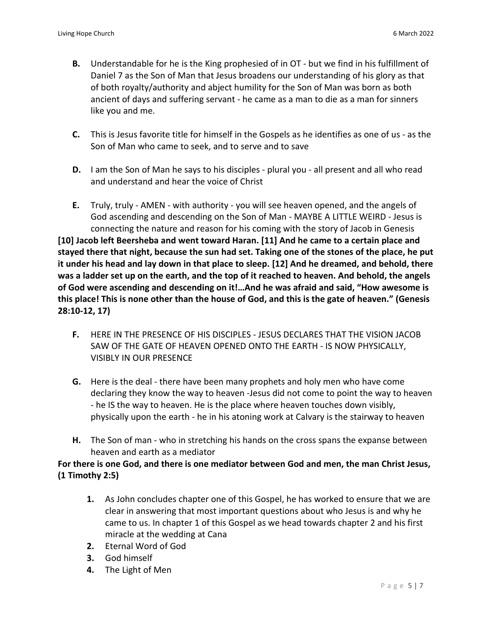- **B.** Understandable for he is the King prophesied of in OT but we find in his fulfillment of Daniel 7 as the Son of Man that Jesus broadens our understanding of his glory as that of both royalty/authority and abject humility for the Son of Man was born as both ancient of days and suffering servant - he came as a man to die as a man for sinners like you and me.
- **C.** This is Jesus favorite title for himself in the Gospels as he identifies as one of us as the Son of Man who came to seek, and to serve and to save
- **D.** I am the Son of Man he says to his disciples plural you all present and all who read and understand and hear the voice of Christ
- **E.** Truly, truly AMEN with authority you will see heaven opened, and the angels of God ascending and descending on the Son of Man - MAYBE A LITTLE WEIRD - Jesus is connecting the nature and reason for his coming with the story of Jacob in Genesis **[10] Jacob left Beersheba and went toward Haran. [11] And he came to a certain place and** stayed there that night, because the sun had set. Taking one of the stones of the place, he put

it under his head and lay down in that place to sleep. [12] And he dreamed, and behold, there was a ladder set up on the earth, and the top of it reached to heaven. And behold, the angels **of God were ascending and descending on it!…And he was afraid and said, "How awesome is** this place! This is none other than the house of God, and this is the gate of heaven." (Genesis **28:10-12, 17)**

- **F.** HERE IN THE PRESENCE OF HIS DISCIPLES JESUS DECLARES THAT THE VISION JACOB SAW OF THE GATE OF HEAVEN OPENED ONTO THE EARTH - IS NOW PHYSICALLY, VISIBLY IN OUR PRESENCE
- **G.** Here is the deal there have been many prophets and holy men who have come declaring they know the way to heaven -Jesus did not come to point the way to heaven - he IS the way to heaven. He is the place where heaven touches down visibly, physically upon the earth - he in his atoning work at Calvary is the stairway to heaven
- **H.** The Son of man who in stretching his hands on the cross spans the expanse between heaven and earth as a mediator

## **For there is one God, and there is one mediator between God and men, the man Christ Jesus, (1 Timothy 2:5)**

- **1.** As John concludes chapter one of this Gospel, he has worked to ensure that we are clear in answering that most important questions about who Jesus is and why he came to us. In chapter 1 of this Gospel as we head towards chapter 2 and his first miracle at the wedding at Cana
- **2.** Eternal Word of God
- **3.** God himself
- **4.** The Light of Men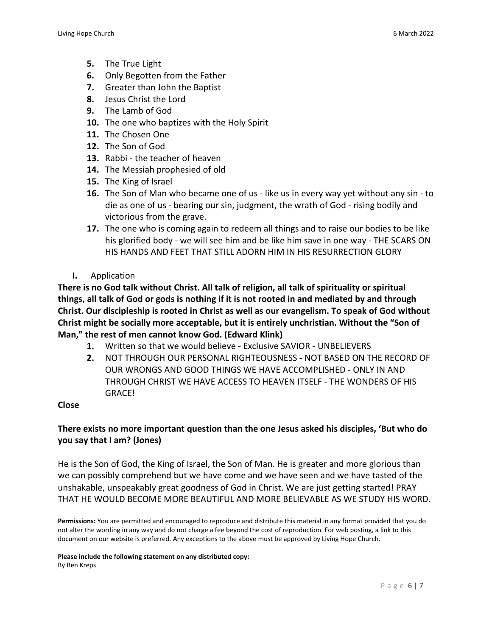- **5.** The True Light
- **6.** Only Begotten from the Father
- **7.** Greater than John the Baptist
- **8.** Jesus Christ the Lord
- **9.** The Lamb of God
- **10.** The one who baptizes with the Holy Spirit
- **11.** The Chosen One
- **12.** The Son of God
- **13.** Rabbi the teacher of heaven
- **14.** The Messiah prophesied of old
- **15.** The King of Israel
- **16.** The Son of Man who became one of us like us in every way yet without any sin to die as one of us - bearing our sin, judgment, the wrath of God - rising bodily and victorious from the grave.
- **17.** The one who is coming again to redeem all things and to raise our bodies to be like his glorified body - we will see him and be like him save in one way - THE SCARS ON HIS HANDS AND FEET THAT STILL ADORN HIM IN HIS RESURRECTION GLORY
- **I.** Application

**There is no God talk without Christ. All talk of religion, all talk of spirituality or spiritual** things, all talk of God or gods is nothing if it is not rooted in and mediated by and through **Christ. Our discipleship is rooted in Christ as well as our evangelism. To speak of God without Christ might be socially more acceptable, but it is entirely unchristian. Without the "Son of Man," the rest of men cannot know God. (Edward Klink)**

- **1.** Written so that we would believe Exclusive SAVIOR UNBELIEVERS
- **2.** NOT THROUGH OUR PERSONAL RIGHTEOUSNESS NOT BASED ON THE RECORD OF OUR WRONGS AND GOOD THINGS WE HAVE ACCOMPLISHED - ONLY IN AND THROUGH CHRIST WE HAVE ACCESS TO HEAVEN ITSELF - THE WONDERS OF HIS GRACE!

#### **Close**

## **There exists no more important question than the one Jesus asked his disciples, 'But who do you say that I am? (Jones)**

He is the Son of God, the King of Israel, the Son of Man. He is greater and more glorious than we can possibly comprehend but we have come and we have seen and we have tasted of the unshakable, unspeakably great goodness of God in Christ. We are just getting started! PRAY THAT HE WOULD BECOME MORE BEAUTIFUL AND MORE BELIEVABLE AS WE STUDY HIS WORD.

**Permissions:** You are permitted and encouraged to reproduce and distribute this material in any format provided that you do not alter the wording in any way and do not charge a fee beyond the cost of reproduction. For web posting, a link to this document on our website is preferred. Any exceptions to the above must be approved by Living Hope Church.

**Please include the following statement on any distributed copy:** By Ben Kreps